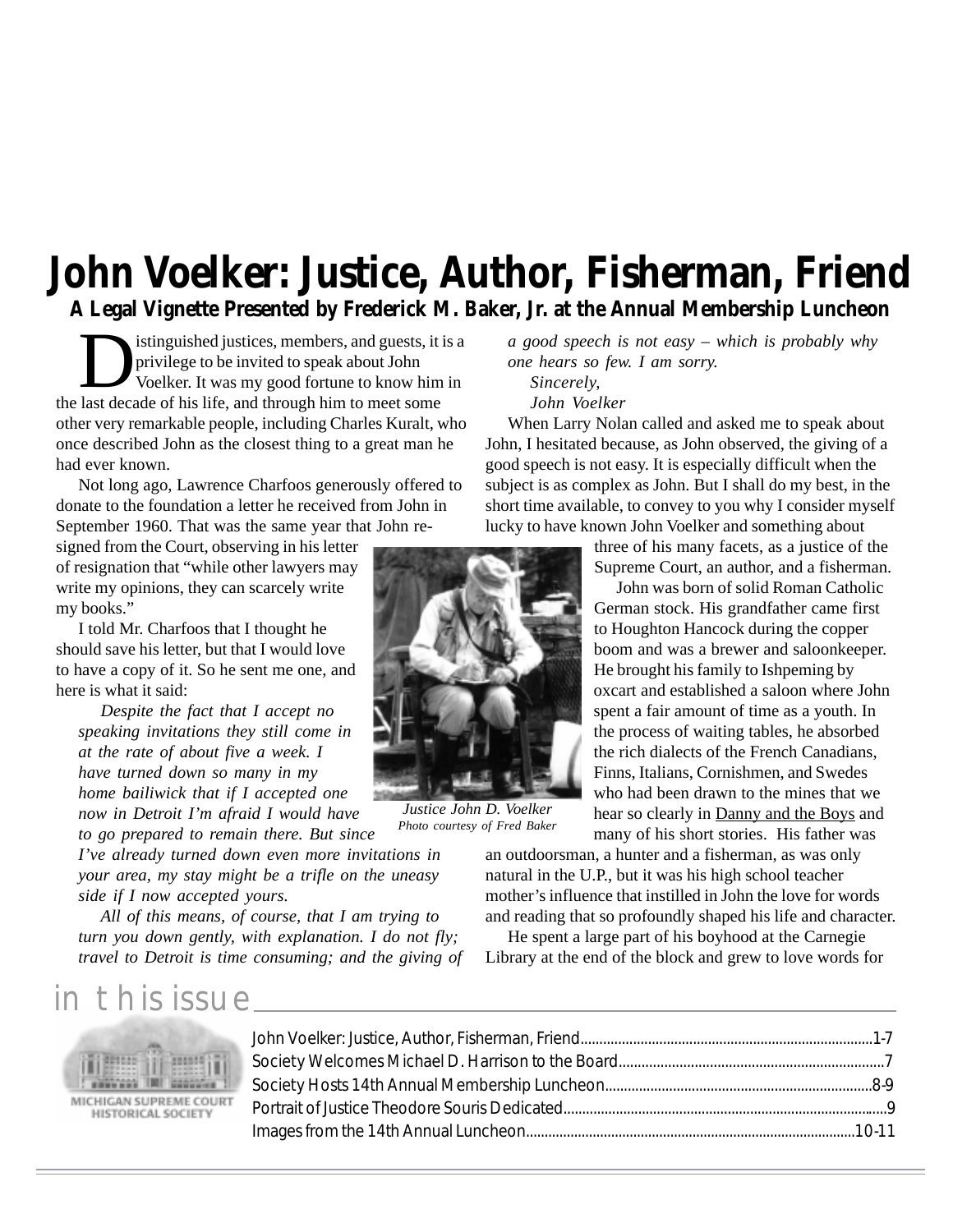#### **John Voelker: Justice, Author, Fisherman, Friend A Legal Vignette Presented by Frederick M. Baker, Jr. at the Annual Membership Luncheon**

istinguished justices, members, and guests, it is a privilege to be invited to speak about John Voelker. It was my good fortune to know him in the last decade of his life, and through him to meet some other very remarkable people, including Charles Kuralt, who once described John as the closest thing to a great man he had ever known.

Not long ago, Lawrence Charfoos generously offered to donate to the foundation a letter he received from John in September 1960. That was the same year that John re-

signed from the Court, observing in his letter of resignation that "while other lawyers may write my opinions, they can scarcely write my books."

I told Mr. Charfoos that I thought he should save his letter, but that I would love to have a copy of it. So he sent me one, and here is what it said:

*Despite the fact that I accept no speaking invitations they still come in at the rate of about five a week. I have turned down so many in my home bailiwick that if I accepted one now in Detroit I'm afraid I would have*

*to go prepared to remain there. But since I've already turned down even more invitations in your area, my stay might be a trifle on the uneasy side if I now accepted yours.*

*All of this means, of course, that I am trying to turn you down gently, with explanation. I do not fly; travel to Detroit is time consuming; and the giving of* *a good speech is not easy – which is probably why one hears so few. I am sorry. Sincerely,*

*John Voelker*

When Larry Nolan called and asked me to speak about John, I hesitated because, as John observed, the giving of a good speech is not easy. It is especially difficult when the subject is as complex as John. But I shall do my best, in the short time available, to convey to you why I consider myself lucky to have known John Voelker and something about

> three of his many facets, as a justice of the Supreme Court, an author, and a fisherman.

> John was born of solid Roman Catholic German stock. His grandfather came first to Houghton Hancock during the copper boom and was a brewer and saloonkeeper. He brought his family to Ishpeming by oxcart and established a saloon where John spent a fair amount of time as a youth. In the process of waiting tables, he absorbed the rich dialects of the French Canadians, Finns, Italians, Cornishmen, and Swedes who had been drawn to the mines that we hear so clearly in Danny and the Boys and many of his short stories. His father was

an outdoorsman, a hunter and a fisherman, as was only natural in the U.P., but it was his high school teacher mother's influence that instilled in John the love for words and reading that so profoundly shaped his life and character.

He spent a large part of his boyhood at the Carnegie Library at the end of the block and grew to love words for

#### in this issue



MICHIGAN SUPREME COURT HISTORICAL SOCIETY



*Justice John D. Voelker Photo courtesy of Fred Baker*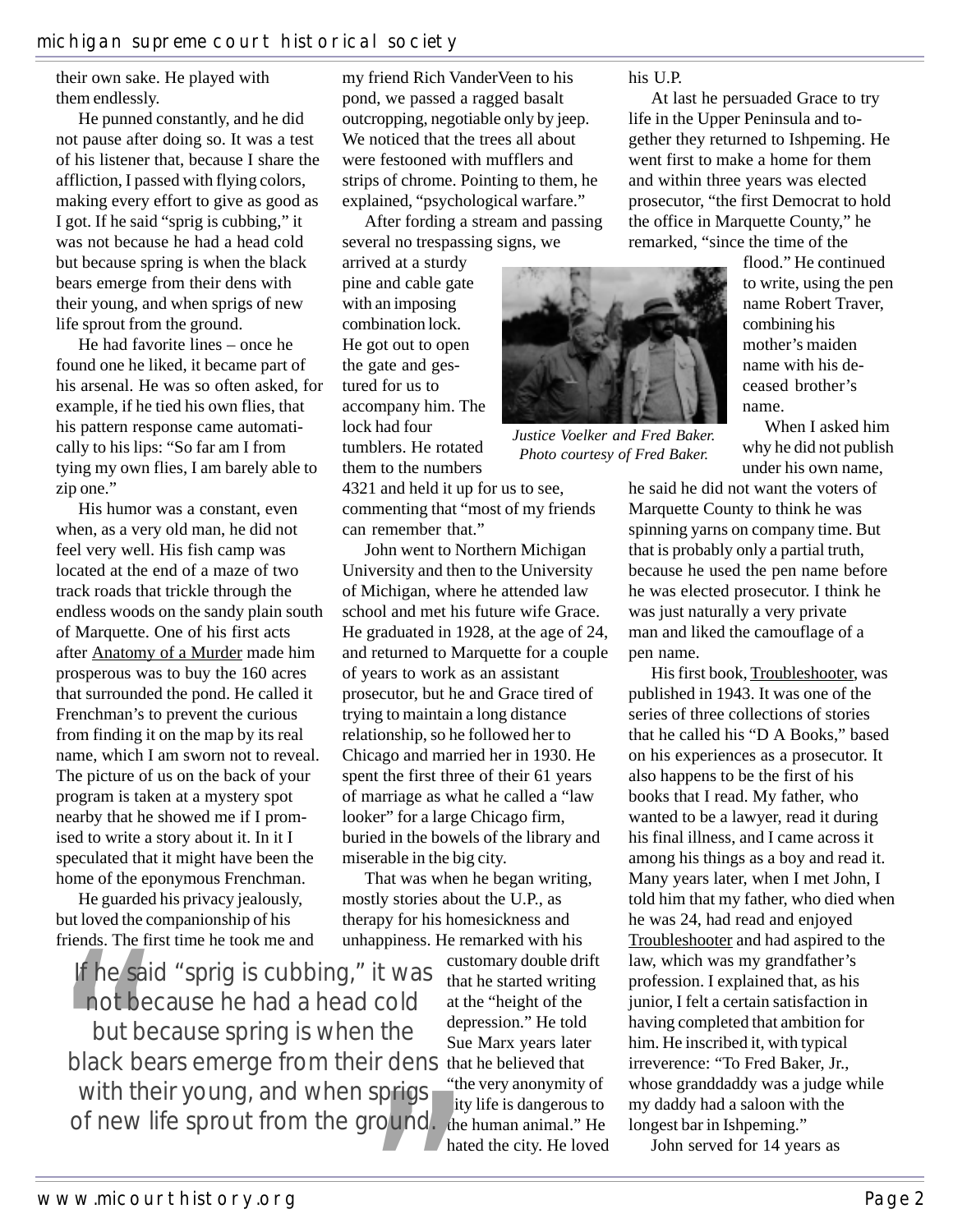their own sake. He played with them endlessly.

He punned constantly, and he did not pause after doing so. It was a test of his listener that, because I share the affliction, I passed with flying colors, making every effort to give as good as I got. If he said "sprig is cubbing," it was not because he had a head cold but because spring is when the black bears emerge from their dens with their young, and when sprigs of new life sprout from the ground.

He had favorite lines – once he found one he liked, it became part of his arsenal. He was so often asked, for example, if he tied his own flies, that his pattern response came automatically to his lips: "So far am I from tying my own flies, I am barely able to zip one."

His humor was a constant, even when, as a very old man, he did not feel very well. His fish camp was located at the end of a maze of two track roads that trickle through the endless woods on the sandy plain south of Marquette. One of his first acts after Anatomy of a Murder made him prosperous was to buy the 160 acres that surrounded the pond. He called it Frenchman's to prevent the curious from finding it on the map by its real name, which I am sworn not to reveal. The picture of us on the back of your program is taken at a mystery spot nearby that he showed me if I promised to write a story about it. In it I speculated that it might have been the home of the eponymous Frenchman.

He guarded his privacy jealously, but loved the companionship of his friends. The first time he took me and

black bears emerge from their dens that he believed that He guard<br>but loved the<br>friends. The<br>**If he say**<br>**not** b<br>but b<br>black b<br>with th<br>of new If he said "sprig is cubbing," it was not because he had a head cold but because spring is when the with their young, and when sprigs of new life sprout from the ground.

my friend Rich VanderVeen to his pond, we passed a ragged basalt outcropping, negotiable only by jeep. We noticed that the trees all about were festooned with mufflers and strips of chrome. Pointing to them, he explained, "psychological warfare."

After fording a stream and passing several no trespassing signs, we

arrived at a sturdy pine and cable gate with an imposing combination lock. He got out to open the gate and gestured for us to accompany him. The lock had four tumblers. He rotated them to the numbers

4321 and held it up for us to see, commenting that "most of my friends can remember that."

John went to Northern Michigan University and then to the University of Michigan, where he attended law school and met his future wife Grace. He graduated in 1928, at the age of 24, and returned to Marquette for a couple of years to work as an assistant prosecutor, but he and Grace tired of trying to maintain a long distance relationship, so he followed her to Chicago and married her in 1930. He spent the first three of their 61 years of marriage as what he called a "law looker" for a large Chicago firm, buried in the bowels of the library and miserable in the big city.

That was when he began writing, mostly stories about the U.P., as therapy for his homesickness and unhappiness. He remarked with his

> customary double drift that he started writing at the "height of the depression." He told Sue Marx years later "the very anonymity of city life is dangerous to the human animal." He hated the city. He loved

his U.P.

At last he persuaded Grace to try life in the Upper Peninsula and together they returned to Ishpeming. He went first to make a home for them and within three years was elected prosecutor, "the first Democrat to hold the office in Marquette County," he remarked, "since the time of the



*Justice Voelker and Fred Baker. Photo courtesy of Fred Baker.*

flood." He continued to write, using the pen name Robert Traver, combining his mother's maiden name with his deceased brother's name.

When I asked him why he did not publish under his own name,

he said he did not want the voters of Marquette County to think he was spinning yarns on company time. But that is probably only a partial truth, because he used the pen name before he was elected prosecutor. I think he was just naturally a very private man and liked the camouflage of a pen name.

His first book, Troubleshooter, was published in 1943. It was one of the series of three collections of stories that he called his "D A Books," based on his experiences as a prosecutor. It also happens to be the first of his books that I read. My father, who wanted to be a lawyer, read it during his final illness, and I came across it among his things as a boy and read it. Many years later, when I met John, I told him that my father, who died when he was 24, had read and enjoyed Troubleshooter and had aspired to the law, which was my grandfather's profession. I explained that, as his junior, I felt a certain satisfaction in having completed that ambition for him. He inscribed it, with typical irreverence: "To Fred Baker, Jr., whose granddaddy was a judge while my daddy had a saloon with the longest bar in Ishpeming." n the Sue Marx years later him. He inscribed it, with typical in the believed that irreverence: "To Fred Baker, Just the very anonymity of whose granddaddy was a judge city life is dangerous to my daddy had a saloon with t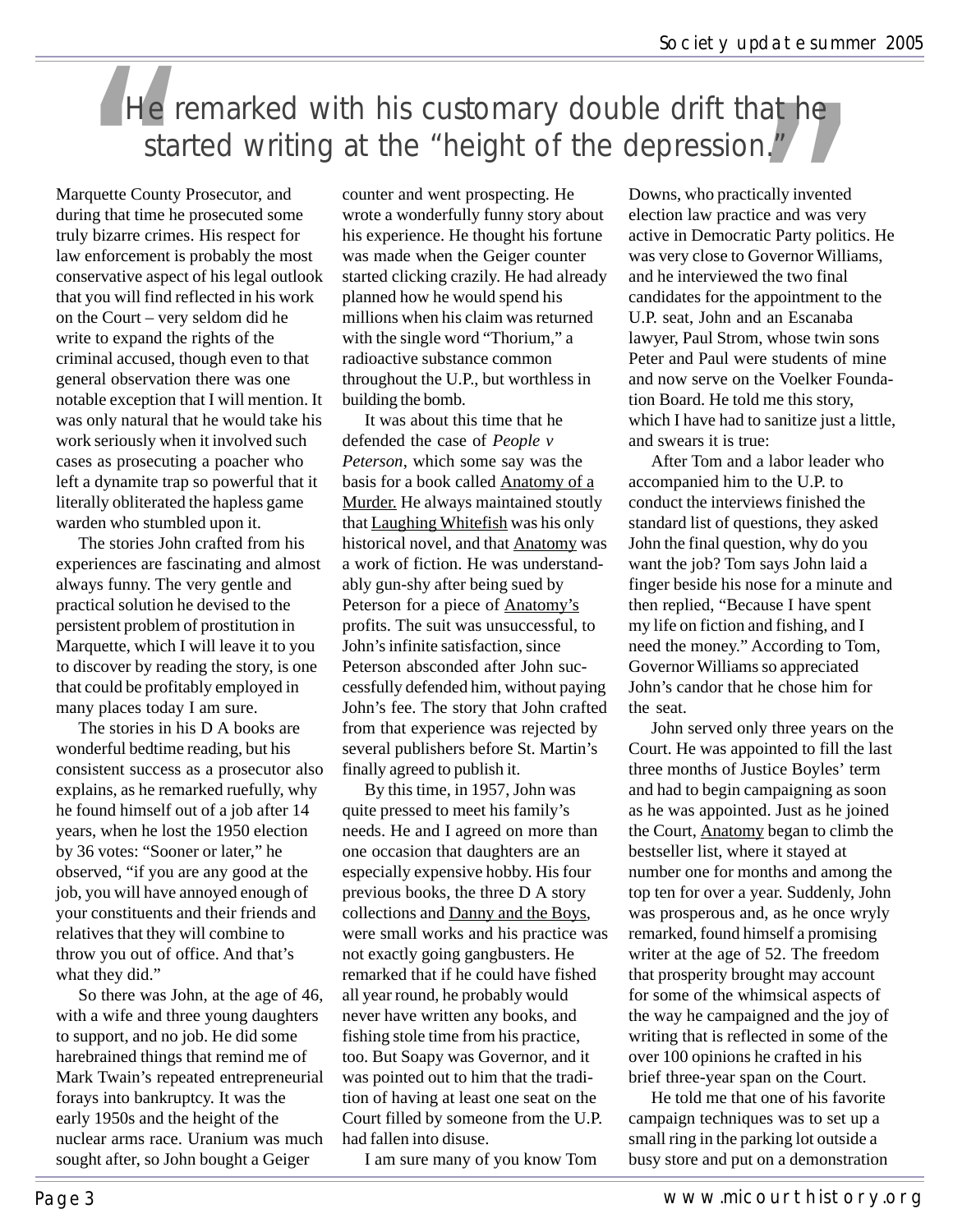### He remarked with his customary double drift that he started writing at the "height of the depression."

Marquette County Prosecutor, and during that time he prosecuted some truly bizarre crimes. His respect for law enforcement is probably the most conservative aspect of his legal outlook that you will find reflected in his work on the Court – very seldom did he write to expand the rights of the criminal accused, though even to that general observation there was one notable exception that I will mention. It was only natural that he would take his work seriously when it involved such cases as prosecuting a poacher who left a dynamite trap so powerful that it literally obliterated the hapless game warden who stumbled upon it.

The stories John crafted from his experiences are fascinating and almost always funny. The very gentle and practical solution he devised to the persistent problem of prostitution in Marquette, which I will leave it to you to discover by reading the story, is one that could be profitably employed in many places today I am sure.

The stories in his D A books are wonderful bedtime reading, but his consistent success as a prosecutor also explains, as he remarked ruefully, why he found himself out of a job after 14 years, when he lost the 1950 election by 36 votes: "Sooner or later," he observed, "if you are any good at the job, you will have annoyed enough of your constituents and their friends and relatives that they will combine to throw you out of office. And that's what they did."

So there was John, at the age of 46, with a wife and three young daughters to support, and no job. He did some harebrained things that remind me of Mark Twain's repeated entrepreneurial forays into bankruptcy. It was the early 1950s and the height of the nuclear arms race. Uranium was much sought after, so John bought a Geiger

counter and went prospecting. He wrote a wonderfully funny story about his experience. He thought his fortune was made when the Geiger counter started clicking crazily. He had already planned how he would spend his millions when his claim was returned with the single word "Thorium," a radioactive substance common throughout the U.P., but worthless in building the bomb.

It was about this time that he defended the case of *People v Peterson*, which some say was the basis for a book called Anatomy of a Murder. He always maintained stoutly that Laughing Whitefish was his only historical novel, and that Anatomy was a work of fiction. He was understandably gun-shy after being sued by Peterson for a piece of **Anatomy's** profits. The suit was unsuccessful, to John's infinite satisfaction, since Peterson absconded after John successfully defended him, without paying John's fee. The story that John crafted from that experience was rejected by several publishers before St. Martin's finally agreed to publish it.

By this time, in 1957, John was quite pressed to meet his family's needs. He and I agreed on more than one occasion that daughters are an especially expensive hobby. His four previous books, the three D A story collections and Danny and the Boys, were small works and his practice was not exactly going gangbusters. He remarked that if he could have fished all year round, he probably would never have written any books, and fishing stole time from his practice, too. But Soapy was Governor, and it was pointed out to him that the tradition of having at least one seat on the Court filled by someone from the U.P. had fallen into disuse.

I am sure many of you know Tom

Downs, who practically invented election law practice and was very active in Democratic Party politics. He was very close to Governor Williams, and he interviewed the two final candidates for the appointment to the U.P. seat, John and an Escanaba lawyer, Paul Strom, whose twin sons Peter and Paul were students of mine and now serve on the Voelker Foundation Board. He told me this story, which I have had to sanitize just a little, and swears it is true:

After Tom and a labor leader who accompanied him to the U.P. to conduct the interviews finished the standard list of questions, they asked John the final question, why do you want the job? Tom says John laid a finger beside his nose for a minute and then replied, "Because I have spent my life on fiction and fishing, and I need the money." According to Tom, Governor Williams so appreciated John's candor that he chose him for the seat.

John served only three years on the Court. He was appointed to fill the last three months of Justice Boyles' term and had to begin campaigning as soon as he was appointed. Just as he joined the Court, Anatomy began to climb the bestseller list, where it stayed at number one for months and among the top ten for over a year. Suddenly, John was prosperous and, as he once wryly remarked, found himself a promising writer at the age of 52. The freedom that prosperity brought may account for some of the whimsical aspects of the way he campaigned and the joy of writing that is reflected in some of the over 100 opinions he crafted in his brief three-year span on the Court.

He told me that one of his favorite campaign techniques was to set up a small ring in the parking lot outside a busy store and put on a demonstration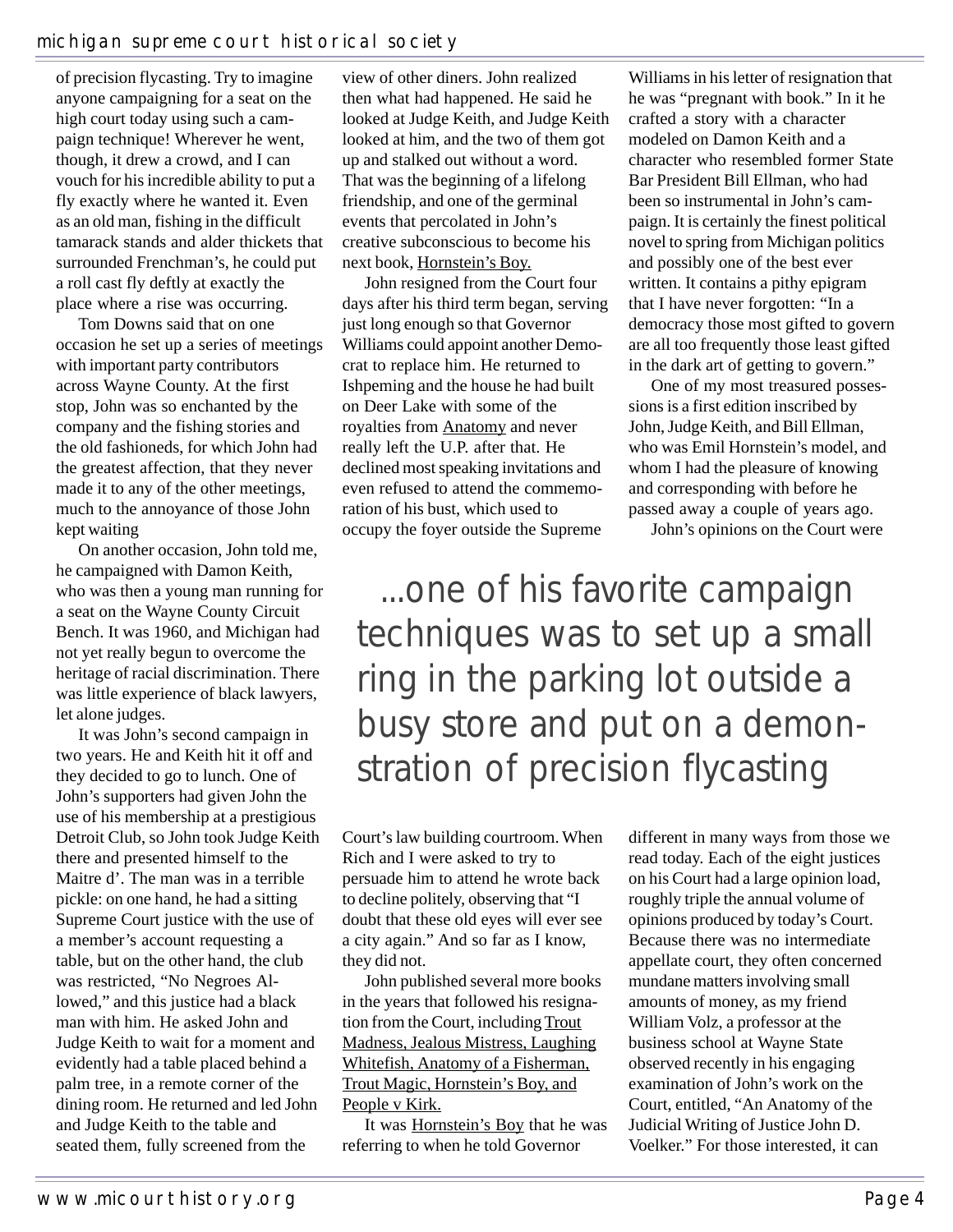of precision flycasting. Try to imagine anyone campaigning for a seat on the high court today using such a campaign technique! Wherever he went, though, it drew a crowd, and I can vouch for his incredible ability to put a fly exactly where he wanted it. Even as an old man, fishing in the difficult tamarack stands and alder thickets that surrounded Frenchman's, he could put a roll cast fly deftly at exactly the place where a rise was occurring.

Tom Downs said that on one occasion he set up a series of meetings with important party contributors across Wayne County. At the first stop, John was so enchanted by the company and the fishing stories and the old fashioneds, for which John had the greatest affection, that they never made it to any of the other meetings, much to the annoyance of those John kept waiting

On another occasion, John told me, he campaigned with Damon Keith, who was then a young man running for a seat on the Wayne County Circuit Bench. It was 1960, and Michigan had not yet really begun to overcome the heritage of racial discrimination. There was little experience of black lawyers, let alone judges.

It was John's second campaign in two years. He and Keith hit it off and they decided to go to lunch. One of John's supporters had given John the use of his membership at a prestigious Detroit Club, so John took Judge Keith there and presented himself to the Maitre d'. The man was in a terrible pickle: on one hand, he had a sitting Supreme Court justice with the use of a member's account requesting a table, but on the other hand, the club was restricted, "No Negroes Allowed," and this justice had a black man with him. He asked John and Judge Keith to wait for a moment and evidently had a table placed behind a palm tree, in a remote corner of the dining room. He returned and led John and Judge Keith to the table and seated them, fully screened from the

view of other diners. John realized then what had happened. He said he looked at Judge Keith, and Judge Keith looked at him, and the two of them got up and stalked out without a word. That was the beginning of a lifelong friendship, and one of the germinal events that percolated in John's creative subconscious to become his next book, Hornstein's Boy.

John resigned from the Court four days after his third term began, serving just long enough so that Governor Williams could appoint another Democrat to replace him. He returned to Ishpeming and the house he had built on Deer Lake with some of the royalties from Anatomy and never really left the U.P. after that. He declined most speaking invitations and even refused to attend the commemoration of his bust, which used to occupy the foyer outside the Supreme

Williams in his letter of resignation that he was "pregnant with book." In it he crafted a story with a character modeled on Damon Keith and a character who resembled former State Bar President Bill Ellman, who had been so instrumental in John's campaign. It is certainly the finest political novel to spring from Michigan politics and possibly one of the best ever written. It contains a pithy epigram that I have never forgotten: "In a democracy those most gifted to govern are all too frequently those least gifted in the dark art of getting to govern."

One of my most treasured possessions is a first edition inscribed by John, Judge Keith, and Bill Ellman, who was Emil Hornstein's model, and whom I had the pleasure of knowing and corresponding with before he passed away a couple of years ago.

John's opinions on the Court were

# ...one of his favorite campaign techniques was to set up a small ring in the parking lot outside a busy store and put on a demonstration of precision flycasting

Court's law building courtroom. When Rich and I were asked to try to persuade him to attend he wrote back to decline politely, observing that "I doubt that these old eyes will ever see a city again." And so far as I know, they did not.

John published several more books in the years that followed his resignation from the Court, including Trout Madness, Jealous Mistress, Laughing Whitefish, Anatomy of a Fisherman, Trout Magic, Hornstein's Boy, and People v Kirk.

It was Hornstein's Boy that he was referring to when he told Governor

different in many ways from those we read today. Each of the eight justices on his Court had a large opinion load, roughly triple the annual volume of opinions produced by today's Court. Because there was no intermediate appellate court, they often concerned mundane matters involving small amounts of money, as my friend William Volz, a professor at the business school at Wayne State observed recently in his engaging examination of John's work on the Court, entitled, "An Anatomy of the Judicial Writing of Justice John D. Voelker." For those interested, it can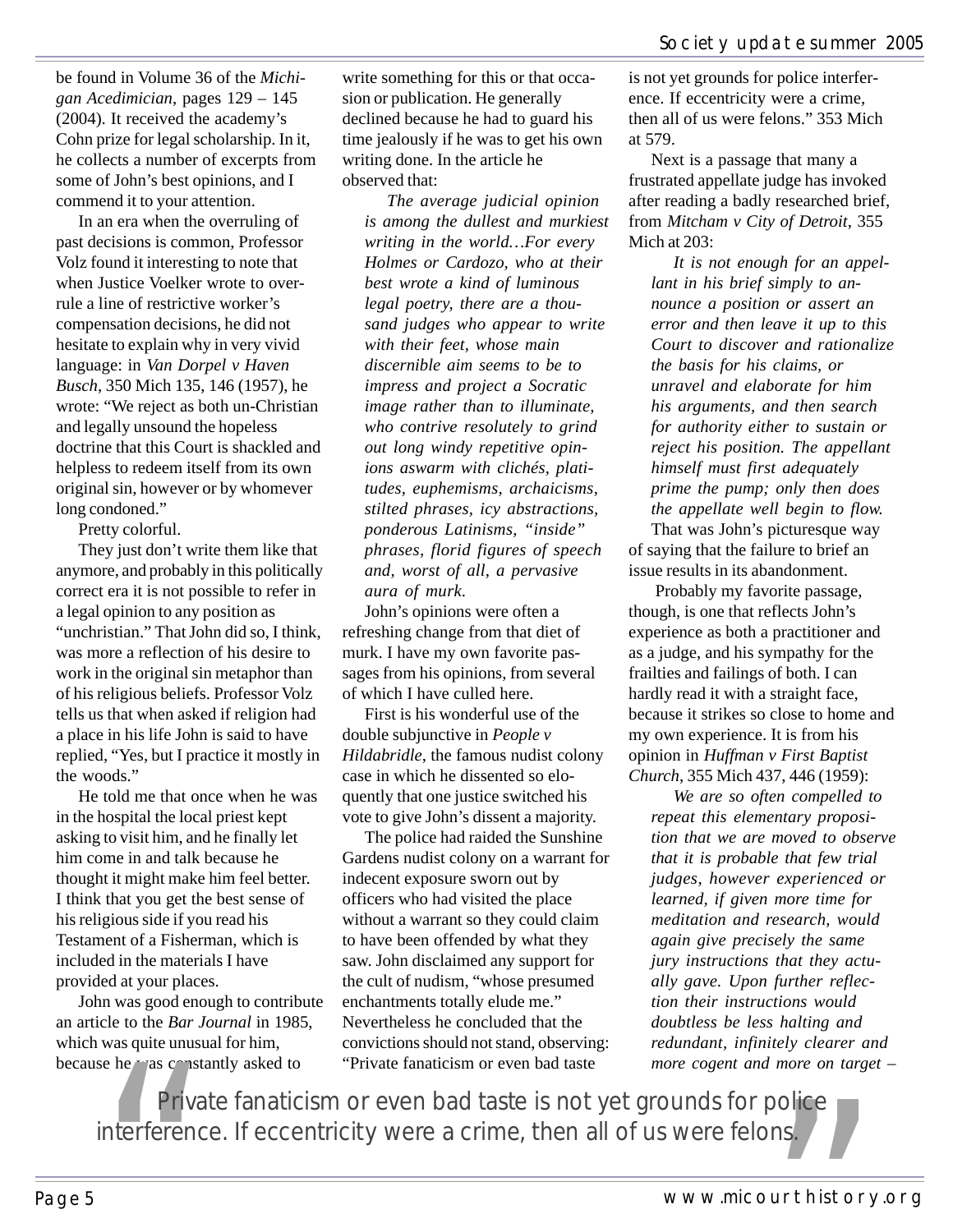be found in Volume 36 of the *Michigan Acedimician*, pages 129 – 145 (2004). It received the academy's Cohn prize for legal scholarship. In it, he collects a number of excerpts from some of John's best opinions, and I commend it to your attention.

In an era when the overruling of past decisions is common, Professor Volz found it interesting to note that when Justice Voelker wrote to overrule a line of restrictive worker's compensation decisions, he did not hesitate to explain why in very vivid language: in *Van Dorpel v Haven Busch*, 350 Mich 135, 146 (1957), he wrote: "We reject as both un-Christian and legally unsound the hopeless doctrine that this Court is shackled and helpless to redeem itself from its own original sin, however or by whomever long condoned."

Pretty colorful.

They just don't write them like that anymore, and probably in this politically correct era it is not possible to refer in a legal opinion to any position as "unchristian." That John did so, I think, was more a reflection of his desire to work in the original sin metaphor than of his religious beliefs. Professor Volz tells us that when asked if religion had a place in his life John is said to have replied, "Yes, but I practice it mostly in the woods."

He told me that once when he was in the hospital the local priest kept asking to visit him, and he finally let him come in and talk because he thought it might make him feel better. I think that you get the best sense of his religious side if you read his Testament of a Fisherman, which is included in the materials I have provided at your places.

John was good enough to contribute an article to the *Bar Journal* in 1985, which was quite unusual for him, because he was constantly asked to

write something for this or that occasion or publication. He generally declined because he had to guard his time jealously if he was to get his own writing done. In the article he observed that:

*The average judicial opinion is among the dullest and murkiest writing in the world…For every Holmes or Cardozo, who at their best wrote a kind of luminous legal poetry, there are a thousand judges who appear to write with their feet, whose main discernible aim seems to be to impress and project a Socratic image rather than to illuminate, who contrive resolutely to grind out long windy repetitive opinions aswarm with clichés, platitudes, euphemisms, archaicisms, stilted phrases, icy abstractions, ponderous Latinisms, "inside" phrases, florid figures of speech and, worst of all, a pervasive aura of murk.*

John's opinions were often a refreshing change from that diet of murk. I have my own favorite passages from his opinions, from several of which I have culled here.

First is his wonderful use of the double subjunctive in *People v Hildabridle*, the famous nudist colony case in which he dissented so eloquently that one justice switched his vote to give John's dissent a majority.

The police had raided the Sunshine Gardens nudist colony on a warrant for indecent exposure sworn out by officers who had visited the place without a warrant so they could claim to have been offended by what they saw. John disclaimed any support for the cult of nudism, "whose presumed enchantments totally elude me." Nevertheless he concluded that the convictions should not stand, observing: "Private fanaticism or even bad taste

is not yet grounds for police interference. If eccentricity were a crime, then all of us were felons." 353 Mich at 579.

Next is a passage that many a frustrated appellate judge has invoked after reading a badly researched brief, from *Mitcham v City of Detroit*, 355 Mich at 203:

*It is not enough for an appellant in his brief simply to announce a position or assert an error and then leave it up to this Court to discover and rationalize the basis for his claims, or unravel and elaborate for him his arguments, and then search for authority either to sustain or reject his position. The appellant himself must first adequately prime the pump; only then does the appellate well begin to flow.*

That was John's picturesque way of saying that the failure to brief an issue results in its abandonment.

 Probably my favorite passage, though, is one that reflects John's experience as both a practitioner and as a judge, and his sympathy for the frailties and failings of both. I can hardly read it with a straight face, because it strikes so close to home and my own experience. It is from his opinion in *Huffman v First Baptist Church*, 355 Mich 437, 446 (1959):

*We are so often compelled to repeat this elementary proposition that we are moved to observe that it is probable that few trial judges, however experienced or learned, if given more time for meditation and research, would again give precisely the same jury instructions that they actually gave. Upon further reflection their instructions would doubtless be less halting and redundant, infinitely clearer and more cogent and more on target –*

The mean is the matter of the Bar Journal in 1985, Nevertheless he concluded that the was quite unusual for him, convictions should not stand, observing: the was constantly asked to "Private fanaticism or even bad taste is interference. If eccentricity were a crime, then all of us were felons.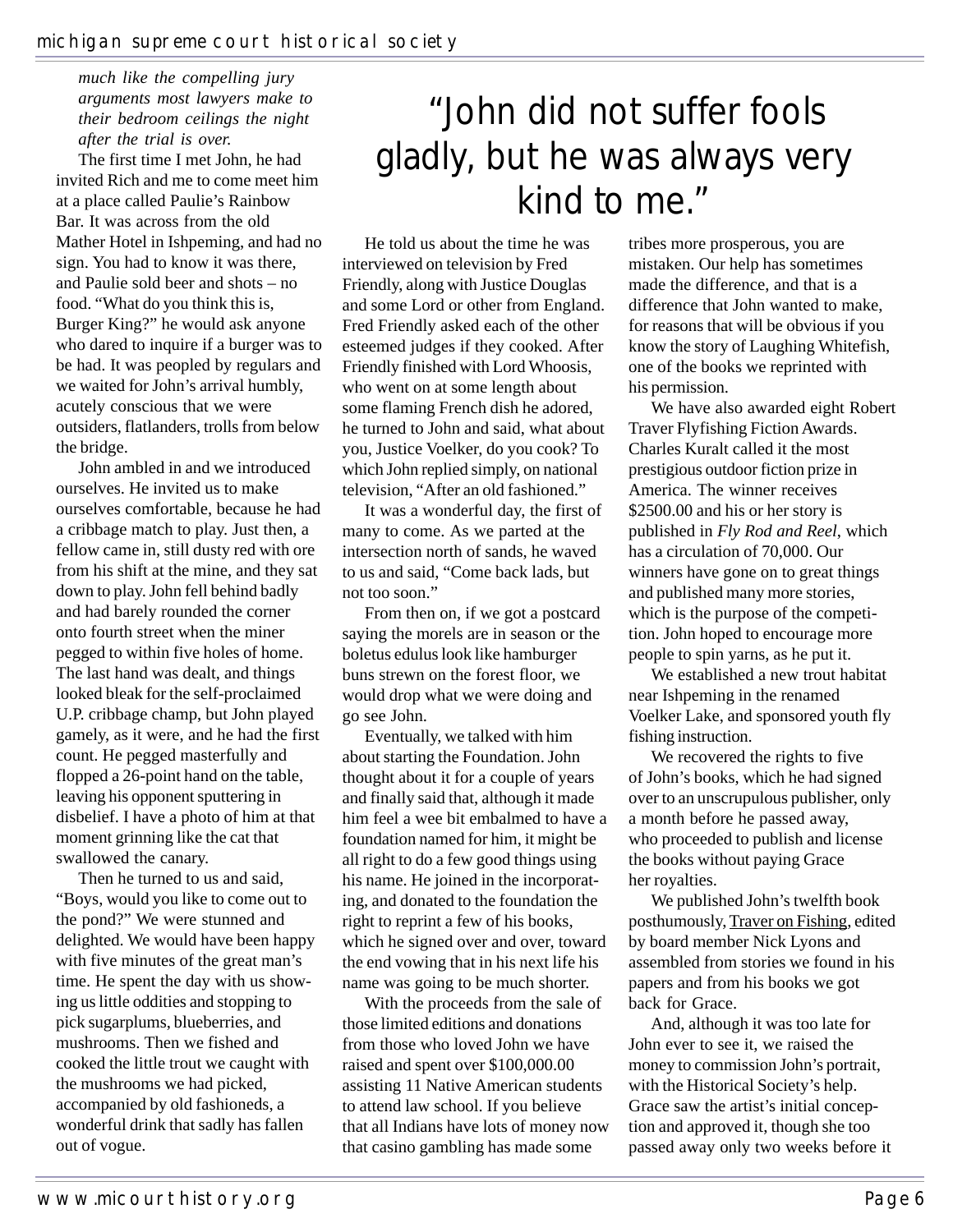#### *much like the compelling jury arguments most lawyers make to their bedroom ceilings the night after the trial is over.*

The first time I met John, he had invited Rich and me to come meet him at a place called Paulie's Rainbow Bar. It was across from the old Mather Hotel in Ishpeming, and had no sign. You had to know it was there, and Paulie sold beer and shots – no food. "What do you think this is, Burger King?" he would ask anyone who dared to inquire if a burger was to be had. It was peopled by regulars and we waited for John's arrival humbly, acutely conscious that we were outsiders, flatlanders, trolls from below the bridge.

John ambled in and we introduced ourselves. He invited us to make ourselves comfortable, because he had a cribbage match to play. Just then, a fellow came in, still dusty red with ore from his shift at the mine, and they sat down to play. John fell behind badly and had barely rounded the corner onto fourth street when the miner pegged to within five holes of home. The last hand was dealt, and things looked bleak for the self-proclaimed U.P. cribbage champ, but John played gamely, as it were, and he had the first count. He pegged masterfully and flopped a 26-point hand on the table, leaving his opponent sputtering in disbelief. I have a photo of him at that moment grinning like the cat that swallowed the canary.

Then he turned to us and said, "Boys, would you like to come out to the pond?" We were stunned and delighted. We would have been happy with five minutes of the great man's time. He spent the day with us showing us little oddities and stopping to pick sugarplums, blueberries, and mushrooms. Then we fished and cooked the little trout we caught with the mushrooms we had picked, accompanied by old fashioneds, a wonderful drink that sadly has fallen out of vogue.

# "John did not suffer fools gladly, but he was always very kind to me."

He told us about the time he was interviewed on television by Fred Friendly, along with Justice Douglas and some Lord or other from England. Fred Friendly asked each of the other esteemed judges if they cooked. After Friendly finished with Lord Whoosis, who went on at some length about some flaming French dish he adored, he turned to John and said, what about you, Justice Voelker, do you cook? To which John replied simply, on national television, "After an old fashioned."

It was a wonderful day, the first of many to come. As we parted at the intersection north of sands, he waved to us and said, "Come back lads, but not too soon."

From then on, if we got a postcard saying the morels are in season or the boletus edulus look like hamburger buns strewn on the forest floor, we would drop what we were doing and go see John.

Eventually, we talked with him about starting the Foundation. John thought about it for a couple of years and finally said that, although it made him feel a wee bit embalmed to have a foundation named for him, it might be all right to do a few good things using his name. He joined in the incorporating, and donated to the foundation the right to reprint a few of his books, which he signed over and over, toward the end vowing that in his next life his name was going to be much shorter.

With the proceeds from the sale of those limited editions and donations from those who loved John we have raised and spent over \$100,000.00 assisting 11 Native American students to attend law school. If you believe that all Indians have lots of money now that casino gambling has made some

tribes more prosperous, you are mistaken. Our help has sometimes made the difference, and that is a difference that John wanted to make, for reasons that will be obvious if you know the story of Laughing Whitefish, one of the books we reprinted with his permission.

We have also awarded eight Robert Traver Flyfishing Fiction Awards. Charles Kuralt called it the most prestigious outdoor fiction prize in America. The winner receives \$2500.00 and his or her story is published in *Fly Rod and Reel*, which has a circulation of 70,000. Our winners have gone on to great things and published many more stories, which is the purpose of the competition. John hoped to encourage more people to spin yarns, as he put it.

We established a new trout habitat near Ishpeming in the renamed Voelker Lake, and sponsored youth fly fishing instruction.

We recovered the rights to five of John's books, which he had signed over to an unscrupulous publisher, only a month before he passed away, who proceeded to publish and license the books without paying Grace her royalties.

We published John's twelfth book posthumously, Traver on Fishing, edited by board member Nick Lyons and assembled from stories we found in his papers and from his books we got back for Grace.

And, although it was too late for John ever to see it, we raised the money to commission John's portrait, with the Historical Society's help. Grace saw the artist's initial conception and approved it, though she too passed away only two weeks before it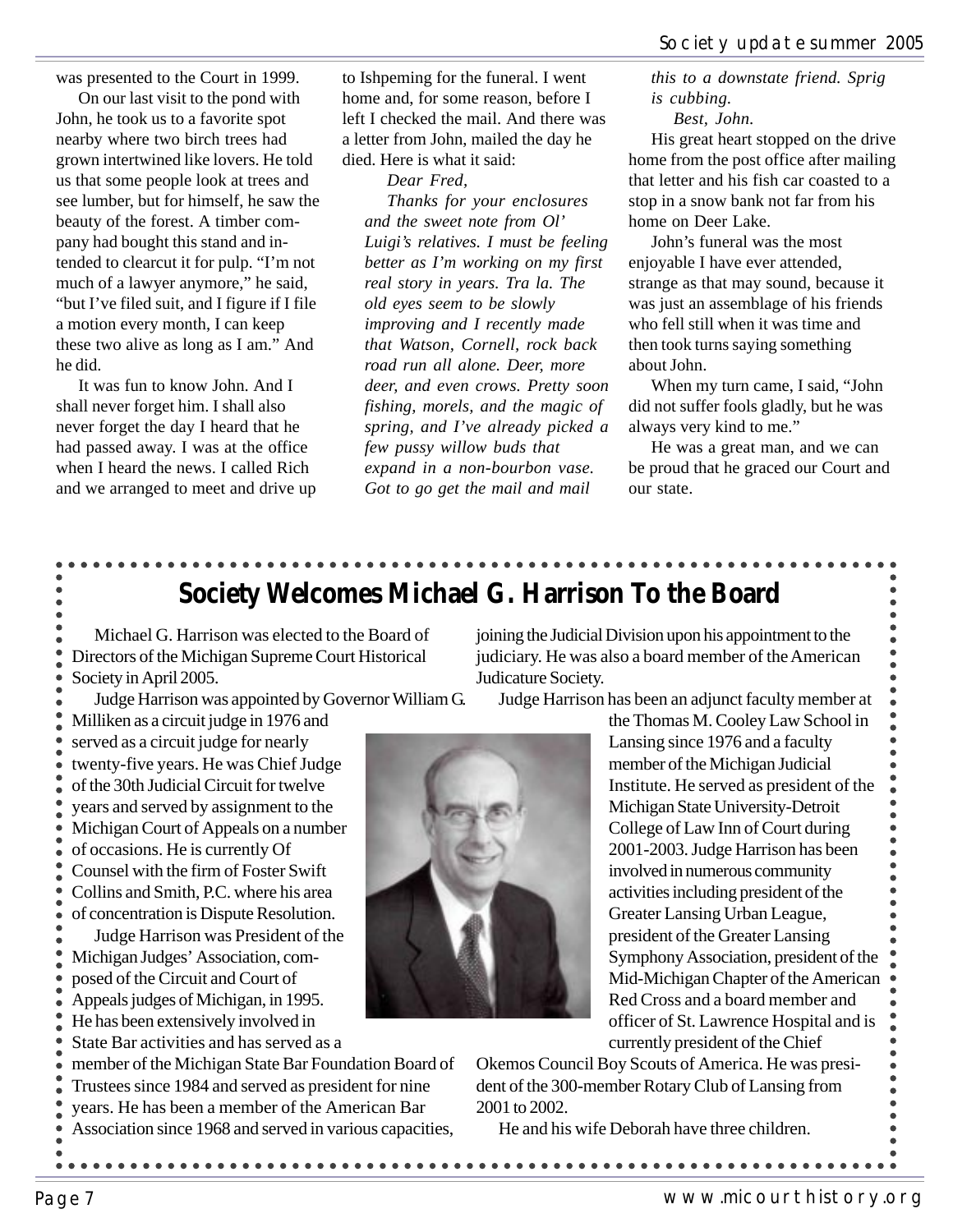was presented to the Court in 1999.

On our last visit to the pond with John, he took us to a favorite spot nearby where two birch trees had grown intertwined like lovers. He told us that some people look at trees and see lumber, but for himself, he saw the beauty of the forest. A timber company had bought this stand and intended to clearcut it for pulp. "I'm not much of a lawyer anymore," he said, "but I've filed suit, and I figure if I file a motion every month, I can keep these two alive as long as I am." And he did.

It was fun to know John. And I shall never forget him. I shall also never forget the day I heard that he had passed away. I was at the office when I heard the news. I called Rich and we arranged to meet and drive up to Ishpeming for the funeral. I went home and, for some reason, before I left I checked the mail. And there was a letter from John, mailed the day he died. Here is what it said:

*Dear Fred, Thanks for your enclosures and the sweet note from Ol' Luigi's relatives. I must be feeling better as I'm working on my first real story in years. Tra la. The old eyes seem to be slowly improving and I recently made that Watson, Cornell, rock back road run all alone. Deer, more deer, and even crows. Pretty soon fishing, morels, and the magic of spring, and I've already picked a few pussy willow buds that expand in a non-bourbon vase. Got to go get the mail and mail*

*this to a downstate friend. Sprig is cubbing.*

*Best, John.*

His great heart stopped on the drive home from the post office after mailing that letter and his fish car coasted to a stop in a snow bank not far from his home on Deer Lake.

John's funeral was the most enjoyable I have ever attended, strange as that may sound, because it was just an assemblage of his friends who fell still when it was time and then took turns saying something about John.

When my turn came, I said, "John did not suffer fools gladly, but he was always very kind to me."

He was a great man, and we can be proud that he graced our Court and our state.

### **Society Welcomes Michael G. Harrison To the Board**

Michael G. Harrison was elected to the Board of Directors of the Michigan Supreme Court Historical Society in April 2005.

Judge Harrison was appointed by Governor William G. Milliken as a circuit judge in 1976 and

served as a circuit judge for nearly twenty-five years. He was Chief Judge of the 30th Judicial Circuit for twelve years and served by assignment to the Michigan Court of Appeals on a number of occasions. He is currently Of Counsel with the firm of Foster Swift Collins and Smith, P.C. where his area

of concentration is Dispute Resolution.

Judge Harrison was President of the Michigan Judges' Association, composed of the Circuit and Court of Appeals judges of Michigan, in 1995. He has been extensively involved in

State Bar activities and has served as a

member of the Michigan State Bar Foundation Board of Trustees since 1984 and served as president for nine years. He has been a member of the American Bar Association since 1968 and served in various capacities,

joining the Judicial Division upon his appointment to the judiciary. He was also a board member of the American Judicature Society.

Judge Harrison has been an adjunct faculty member at



Okemos Council Boy Scouts of America. He was president of the 300-member Rotary Club of Lansing from 2001 to 2002.

He and his wife Deborah have three children.

 $\bullet$  $\bullet$  $\bullet$  $\bullet$  $\bullet$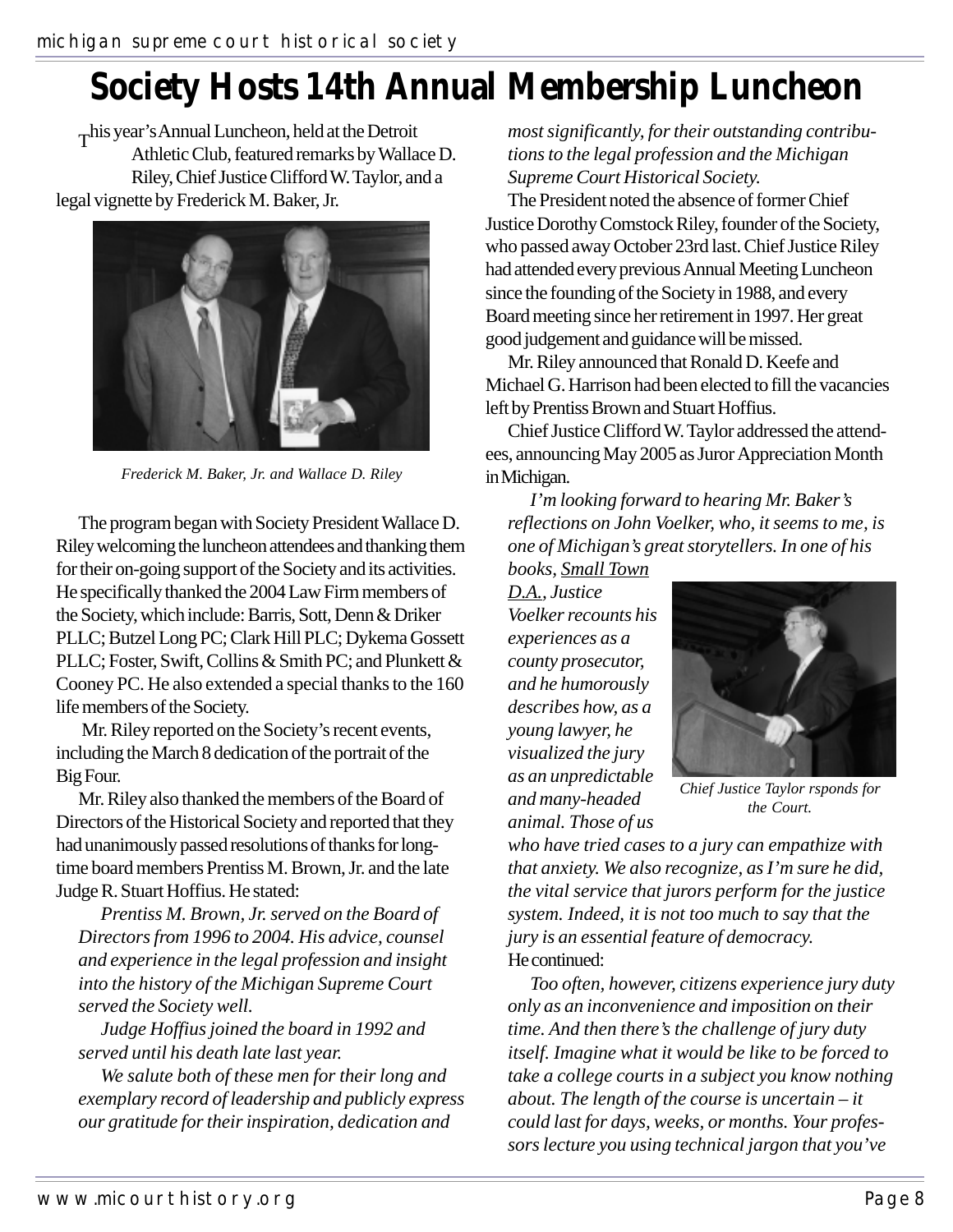# **Society Hosts 14th Annual Membership Luncheon**

This year's Annual Luncheon, held at the Detroit Athletic Club, featured remarks by Wallace D. Riley, Chief Justice Clifford W. Taylor, and a legal vignette by Frederick M. Baker, Jr.



*Frederick M. Baker, Jr. and Wallace D. Riley*

The program began with Society President Wallace D. Riley welcoming the luncheon attendees and thanking them for their on-going support of the Society and its activities. He specifically thanked the 2004 Law Firm members of the Society, which include: Barris, Sott, Denn & Driker PLLC; Butzel Long PC; Clark Hill PLC; Dykema Gossett PLLC; Foster, Swift, Collins & Smith PC; and Plunkett & Cooney PC. He also extended a special thanks to the 160 life members of the Society.

 Mr. Riley reported on the Society's recent events, including the March 8 dedication of the portrait of the Big Four.

Mr. Riley also thanked the members of the Board of Directors of the Historical Society and reported that they had unanimously passed resolutions of thanks for longtime board members Prentiss M. Brown, Jr. and the late Judge R. Stuart Hoffius. He stated:

*Prentiss M. Brown, Jr. served on the Board of Directors from 1996 to 2004. His advice, counsel and experience in the legal profession and insight into the history of the Michigan Supreme Court served the Society well.*

*Judge Hoffius joined the board in 1992 and served until his death late last year.*

*We salute both of these men for their long and exemplary record of leadership and publicly express our gratitude for their inspiration, dedication and*

*most significantly, for their outstanding contributions to the legal profession and the Michigan Supreme Court Historical Society.*

The President noted the absence of former Chief Justice DorothyComstock Riley, founder of the Society, who passed away October 23rd last. Chief Justice Riley had attended every previous Annual Meeting Luncheon since the founding of the Society in 1988, and every Board meeting since her retirement in 1997. Her great good judgement and guidance will be missed.

Mr. Riley announced that Ronald D. Keefe and Michael G. Harrison had been elected to fill the vacancies left by Prentiss Brown and Stuart Hoffius.

Chief Justice Clifford W. Taylor addressed the attendees, announcing May 2005 as Juror Appreciation Month in Michigan.

*I'm looking forward to hearing Mr. Baker's reflections on John Voelker, who, it seems to me, is one of Michigan's great storytellers. In one of his*

*books, Small Town D.A., Justice Voelker recounts his experiences as a county prosecutor, and he humorously describes how, as a young lawyer, he visualized the jury as an unpredictable and many-headed animal. Those of us*



*Chief Justice Taylor rsponds for the Court.*

*who have tried cases to a jury can empathize with that anxiety. We also recognize, as I'm sure he did, the vital service that jurors perform for the justice system. Indeed, it is not too much to say that the jury is an essential feature of democracy.* He continued:

*Too often, however, citizens experience jury duty only as an inconvenience and imposition on their time. And then there's the challenge of jury duty itself. Imagine what it would be like to be forced to take a college courts in a subject you know nothing about. The length of the course is uncertain – it could last for days, weeks, or months. Your professors lecture you using technical jargon that you've*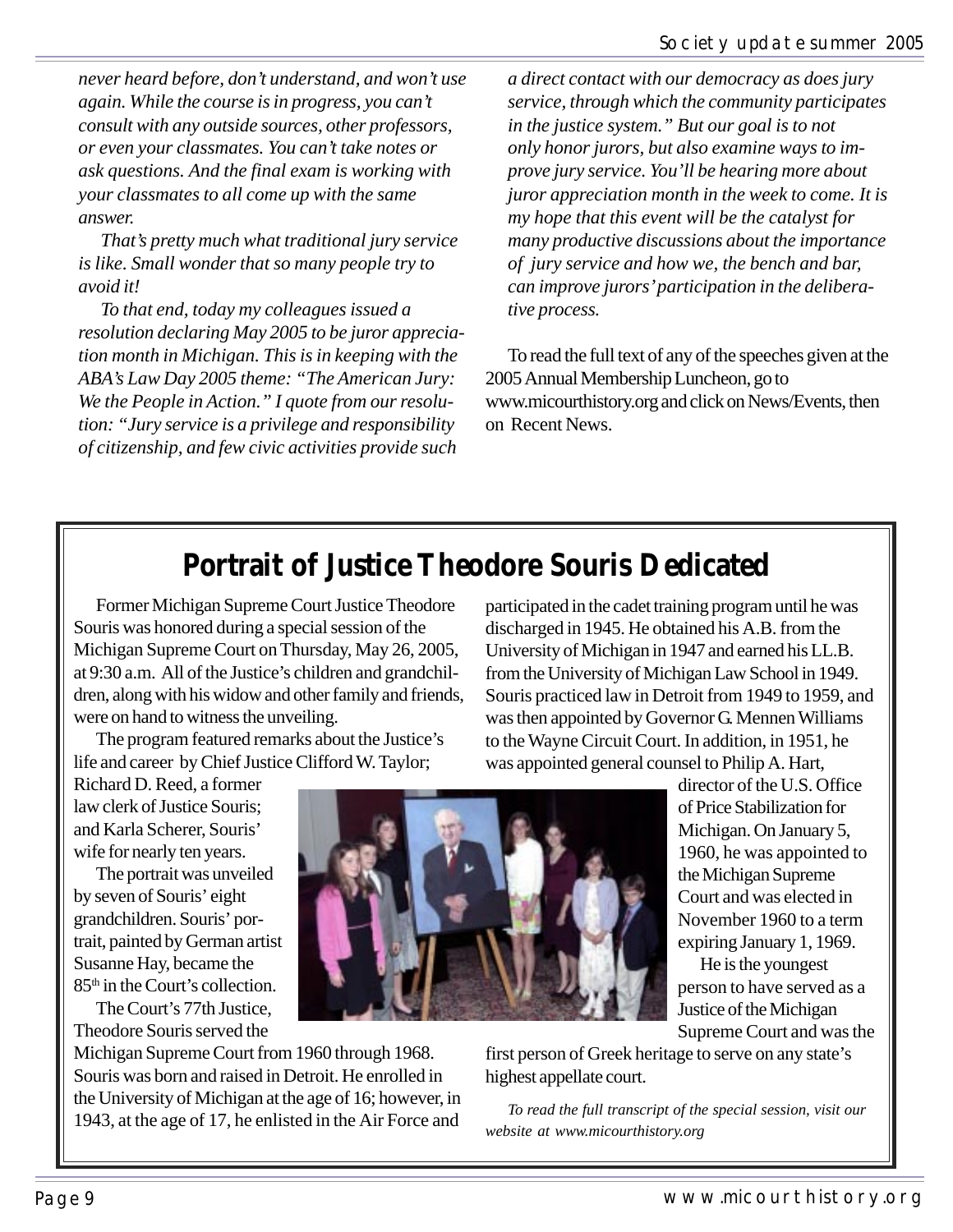*never heard before, don't understand, and won't use again. While the course is in progress, you can't consult with any outside sources, other professors, or even your classmates. You can't take notes or ask questions. And the final exam is working with your classmates to all come up with the same answer.*

*That's pretty much what traditional jury service is like. Small wonder that so many people try to avoid it!*

*To that end, today my colleagues issued a resolution declaring May 2005 to be juror appreciation month in Michigan. This is in keeping with the ABA's Law Day 2005 theme: "The American Jury: We the People in Action." I quote from our resolution: "Jury service is a privilege and responsibility of citizenship, and few civic activities provide such*

*a direct contact with our democracy as does jury service, through which the community participates in the justice system." But our goal is to not only honor jurors, but also examine ways to improve jury service. You'll be hearing more about juror appreciation month in the week to come. It is my hope that this event will be the catalyst for many productive discussions about the importance of jury service and how we, the bench and bar, can improve jurors' participation in the deliberative process.*

To read the full text of any of the speeches given at the 2005 Annual Membership Luncheon, go to www.micourthistory.org and click on News/Events, then on Recent News.

### **Portrait of Justice Theodore Souris Dedicated**

Former Michigan Supreme Court Justice Theodore Souris was honored during a special session of the Michigan Supreme Court on Thursday, May 26, 2005, at 9:30 a.m. All of the Justice's children and grandchildren, along with his widow and other family and friends, were on hand to witness the unveiling.

The program featured remarks about the Justice's life and career by Chief Justice Clifford W. Taylor;

Richard D. Reed, a former law clerk of Justice Souris; and Karla Scherer, Souris' wife for nearly ten years.

The portrait was unveiled by seven of Souris' eight grandchildren. Souris' portrait, painted by German artist Susanne Hay, became the 85<sup>th</sup> in the Court's collection.

The Court's 77th Justice, Theodore Souris served the

Michigan Supreme Court from 1960 through 1968. Souris was born and raised in Detroit. He enrolled in the University of Michigan at the age of 16; however, in 1943, at the age of 17, he enlisted in the Air Force and



participated in the cadet training program until he was discharged in 1945. He obtained his A.B. from the University of Michigan in 1947 and earned his LL.B. from the University of Michigan Law School in 1949. Souris practiced law in Detroit from 1949 to 1959, and was then appointed by Governor G. Mennen Williams to the Wayne Circuit Court. In addition, in 1951, he was appointed general counsel to Philip A. Hart,

director of the U.S. Office of Price Stabilization for Michigan. On January 5, 1960, he was appointed to the Michigan Supreme Court and was elected in November 1960 to a term expiring January 1, 1969.

He is the youngest person to have served as a Justice of the Michigan Supreme Court and was the

first person of Greek heritage to serve on any state's highest appellate court.

*To read the full transcript of the special session, visit our website at www.micourthistory.org*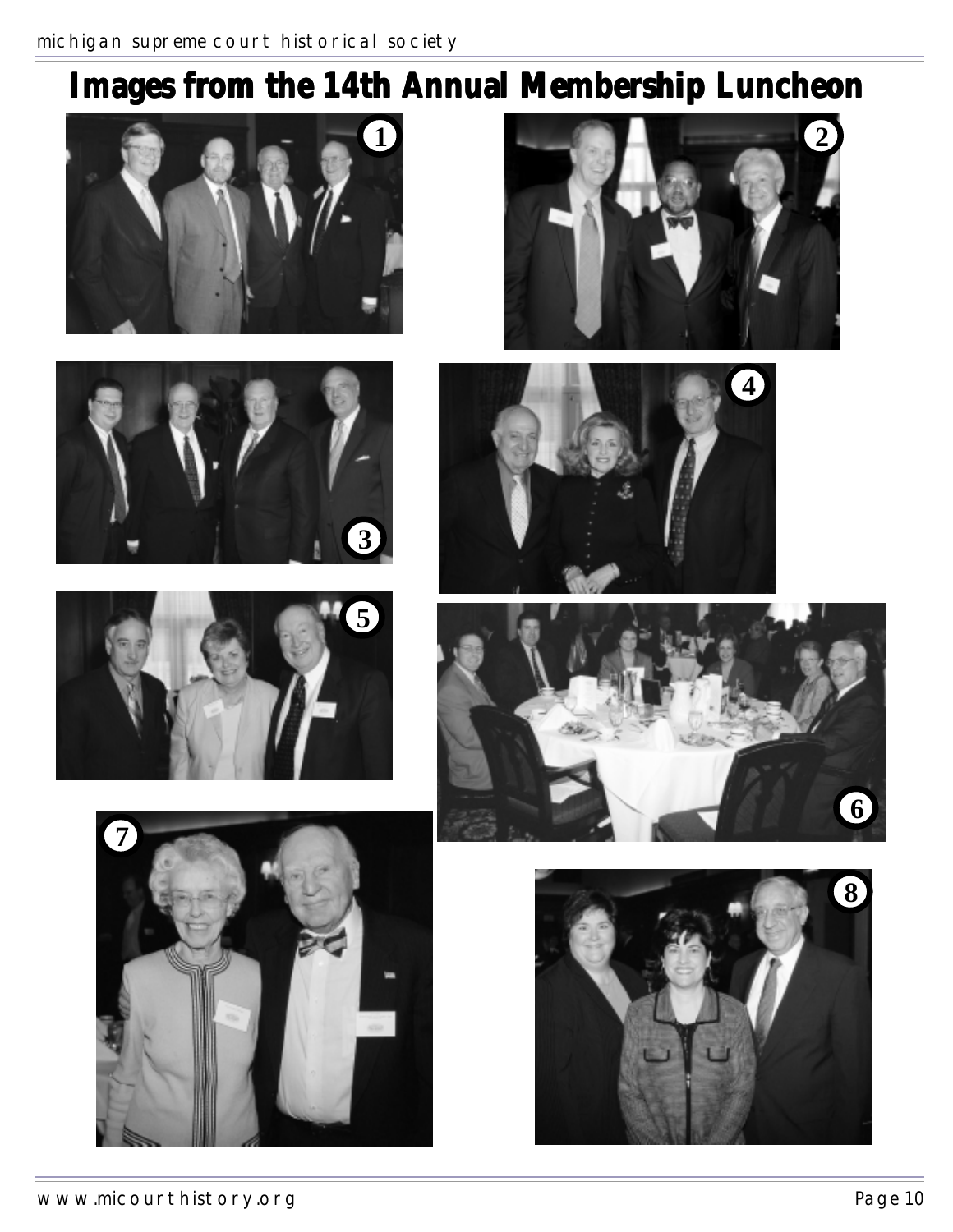# Images from the 14th Annual Membership Luncheon















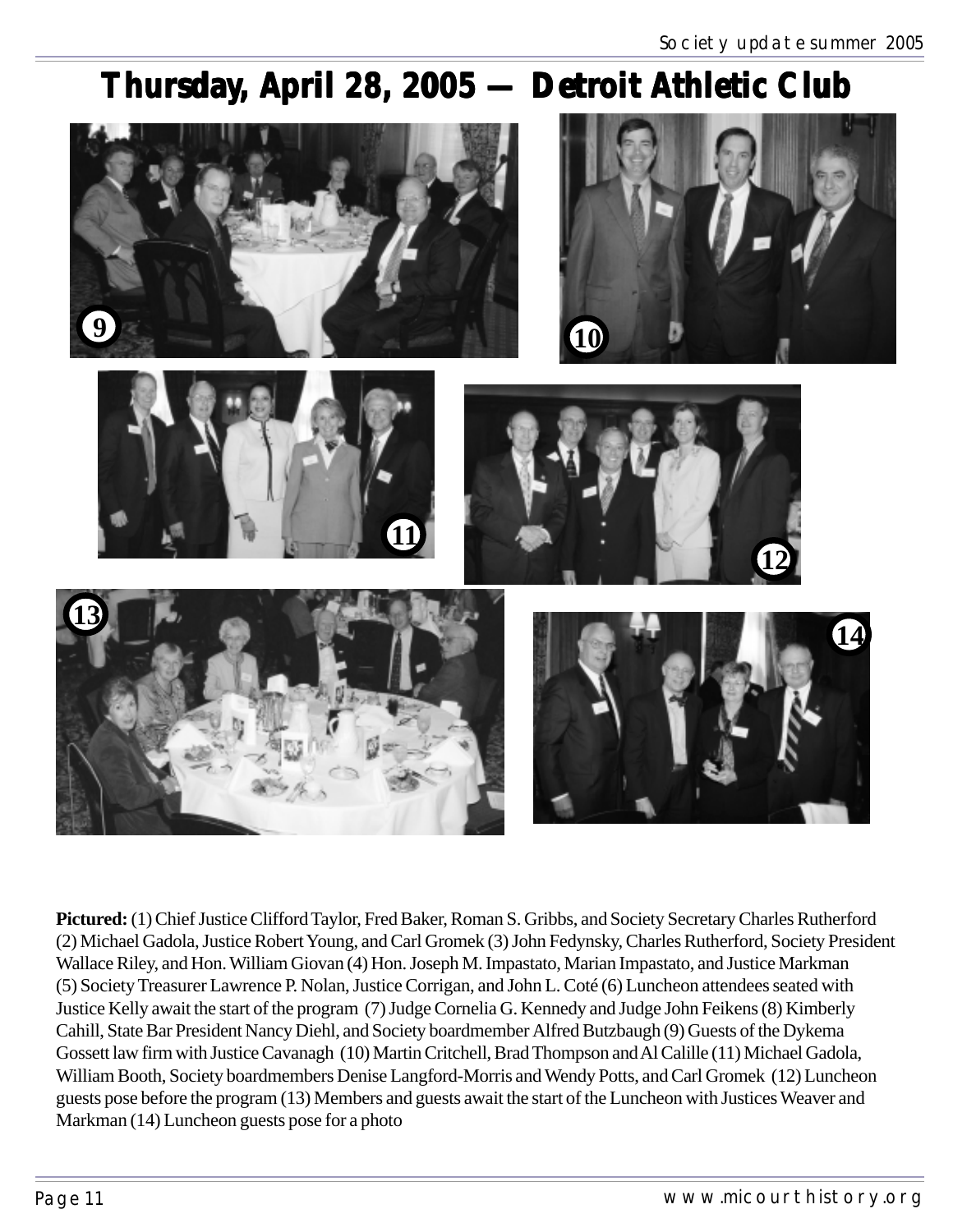### Thursday, April 28, 2005 — Detroit Athletic Club



**Pictured:** (1)Chief Justice Clifford Taylor, Fred Baker, Roman S. Gribbs, and Society Secretary Charles Rutherford (2) Michael Gadola, Justice Robert Young, and Carl Gromek (3) John Fedynsky, Charles Rutherford, Society President Wallace Riley, and Hon. William Giovan (4) Hon. Joseph M. Impastato, Marian Impastato, and Justice Markman (5) Society Treasurer Lawrence P. Nolan, Justice Corrigan, and John L. Coté (6) Luncheon attendees seated with Justice Kelly await the start of the program (7) Judge Cornelia G. Kennedy and Judge John Feikens (8) Kimberly Cahill, State Bar President Nancy Diehl, and Society boardmember Alfred Butzbaugh (9) Guests of the Dykema Gossett law firm with Justice Cavanagh (10) Martin Critchell, Brad Thompson and Al Calille (11) Michael Gadola, William Booth, Society boardmembers Denise Langford-Morris and Wendy Potts, and Carl Gromek (12) Luncheon guests pose before the program (13) Members and guests await the start of the Luncheon with Justices Weaver and Markman (14) Luncheon guests pose for a photo